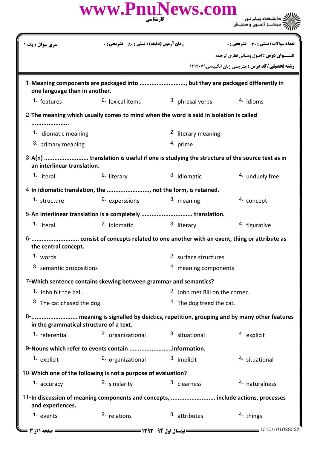|                                         | www.PnuNews.com<br>کارشناسی                                                             |                                |                                                                                              |  |
|-----------------------------------------|-----------------------------------------------------------------------------------------|--------------------------------|----------------------------------------------------------------------------------------------|--|
| <b>سری سوال :</b> یک ۱                  | <b>زمان آزمون (دقیقه) : تستی : 80 ٪ تشریحی : 0</b>                                      |                                | تعداد سوالات : تستى : 30 - تشريحي : 0                                                        |  |
|                                         |                                                                                         |                                | <b>عنـــوان درس :</b> اصول ومبانی نظری ترجمه                                                 |  |
|                                         |                                                                                         |                                | <b>رشته تحصیلی/کد درس :</b> مترجمی زبان انگلیسی1۲۱۲۰۷۹                                       |  |
| one language than in another.           | 1-Meaning components are packaged into , but they are packaged differently in           |                                |                                                                                              |  |
| 1. features                             | <sup>2.</sup> lexical items                                                             | 3. phrasal verbs               | 4. idioms                                                                                    |  |
|                                         | 2-The meaning which usually comes to mind when the word is said in isolation is called  |                                |                                                                                              |  |
| 1. idiomatic meaning                    |                                                                                         | <sup>2.</sup> literary meaning |                                                                                              |  |
| 3. primary meaning                      |                                                                                         | 4. prime                       |                                                                                              |  |
| an interlinear translation.             | 3-A(n)  translation is useful if one is studying the structure of the source text as in |                                |                                                                                              |  |
| 1. literal                              | <sup>2.</sup> literary                                                                  | 3. idiomatic                   | 4. unduely free                                                                              |  |
|                                         | 4-In idiomatic translation, the , not the form, is retained.                            |                                |                                                                                              |  |
| 1. structure                            | 2. experssions                                                                          | 3. meaning                     | <sup>4.</sup> concept                                                                        |  |
|                                         | 5-An interlinear translation is a completely  translation.                              |                                |                                                                                              |  |
| 1. literal                              | <sup>2.</sup> idiomatic                                                                 | 3. literary                    | 4. figurative                                                                                |  |
| 6-<br>the central concept.              | consist of concepts related to one another with an event, thing or attribute as         |                                |                                                                                              |  |
| 1. words                                |                                                                                         | 2. surface structures          |                                                                                              |  |
| 3. semantic propositions                |                                                                                         | 4. meaning components          |                                                                                              |  |
|                                         | 7-Which sentence contains skewing between grammar and semantics?                        |                                |                                                                                              |  |
| 1. John hit the ball.                   |                                                                                         |                                | <sup>2.</sup> John met Bill on the corner.                                                   |  |
|                                         | 3. The cat chased the dog.                                                              |                                | <sup>4.</sup> The dog treed the cat.                                                         |  |
| in the grammatical structure of a text. |                                                                                         |                                | 8-         meaning is signalled by deictics, repetition, grouping and by many other features |  |
| 1. referential                          | 2. organizational                                                                       | 3. situational                 | 4. explicit                                                                                  |  |
|                                         | 9-Nouns which refer to events contain information.                                      |                                |                                                                                              |  |
| 1. explicit                             | 2. organizational                                                                       | 3. implicit                    | 4. situational                                                                               |  |
|                                         | 10-Which one of the following is not a purpose of evaluation?                           |                                |                                                                                              |  |
| 1. accuracy                             | 2. similarity                                                                           | 3. clearness                   | 4. naturalness                                                                               |  |
| and experiences.                        | 11-In discussion of meaning components and concepts,  include actions, processes        |                                |                                                                                              |  |
| 1. events                               | 2. relations                                                                            | 3. attributes                  | 4. things                                                                                    |  |
| $=$ صفحه ۱۱; ۳ $\!=$                    |                                                                                         |                                | 1010/101028523                                                                               |  |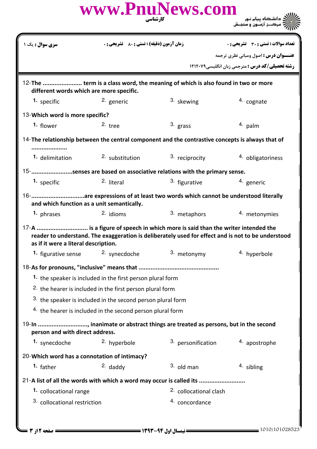|                                              |                                                                      | www.PnuNews.com<br>کار شناسی                                                                                                                                                         |                                                        |
|----------------------------------------------|----------------------------------------------------------------------|--------------------------------------------------------------------------------------------------------------------------------------------------------------------------------------|--------------------------------------------------------|
| <b>سری سوال :</b> یک ۱                       | <b>زمان آزمون (دقیقه) : تستی : 80 ٪ تشریحی : 0</b>                   |                                                                                                                                                                                      | تعداد سوالات : تستى : 30 ٪ تشريحي : 0                  |
|                                              |                                                                      |                                                                                                                                                                                      | <b>عنــوان درس :</b> اصول ومبانی نظری ترجمه            |
|                                              |                                                                      |                                                                                                                                                                                      | <b>رشته تحصیلی/کد درس :</b> مترجمی زبان انگلیسی1۲۱۲۰۷۹ |
| different words which are more specific.     |                                                                      | 12-The  term is a class word, the meaning of which is also found in two or more                                                                                                      |                                                        |
| 1. specific                                  | 2. generic                                                           | 3. skewing                                                                                                                                                                           | 4. cognate                                             |
| 13-Which word is more specific?              |                                                                      |                                                                                                                                                                                      |                                                        |
| 1. flower                                    | $2.$ tree                                                            | $3.$ grass                                                                                                                                                                           | $4.$ palm                                              |
|                                              |                                                                      | 14-The relationship between the central component and the contrastive concepts is always that of                                                                                     |                                                        |
| 1. delimitation                              | 2. substitution                                                      | 3. reciprocity                                                                                                                                                                       | 4. obligatoriness                                      |
|                                              |                                                                      | 15-senses are based on associative relations with the primary sense.                                                                                                                 |                                                        |
| 1. specific                                  | <sup>2.</sup> literal                                                | 3. figurative                                                                                                                                                                        | <sup>4</sup> generic                                   |
| and which function as a unit semantically.   |                                                                      |                                                                                                                                                                                      |                                                        |
| 1. phrases                                   | <sup>2.</sup> idioms                                                 | 3. metaphors                                                                                                                                                                         | 4. metonymies                                          |
| as if it were a literal description.         |                                                                      | 17-A  is a figure of speech in which more is said than the writer intended the<br>reader to understand. The exaggeration is deliberately used for effect and is not to be understood |                                                        |
| 1. figurative sense $2.$ synecdoche          |                                                                      | 3. metonymy                                                                                                                                                                          | 4. hyperbole                                           |
|                                              |                                                                      |                                                                                                                                                                                      |                                                        |
|                                              | 1. the speaker is included in the first person plural form           |                                                                                                                                                                                      |                                                        |
|                                              | <sup>2.</sup> the hearer is included in the first person plural form |                                                                                                                                                                                      |                                                        |
|                                              | 3. the speaker is included in the second person plural form          |                                                                                                                                                                                      |                                                        |
|                                              | 4. the hearer is included in the second person plural form           |                                                                                                                                                                                      |                                                        |
| person and with direct address.              |                                                                      | 19-In , inanimate or abstract things are treated as persons, but in the second                                                                                                       |                                                        |
| 1. synecdoche                                | 2. hyperbole                                                         | 3. personification                                                                                                                                                                   | 4. apostrophe                                          |
| 20-Which word has a connotation of intimacy? |                                                                      |                                                                                                                                                                                      |                                                        |
| 1. father                                    | $2.$ daddy                                                           | $3.$ old man                                                                                                                                                                         | 4. sibling                                             |
|                                              |                                                                      | 21-A list of all the words with which a word may occur is called its                                                                                                                 |                                                        |
| 1. collocational range                       |                                                                      | <sup>2.</sup> collocational clash                                                                                                                                                    |                                                        |
| <sup>3</sup> collocational restriction       |                                                                      | 4. concordance                                                                                                                                                                       |                                                        |
|                                              |                                                                      |                                                                                                                                                                                      |                                                        |